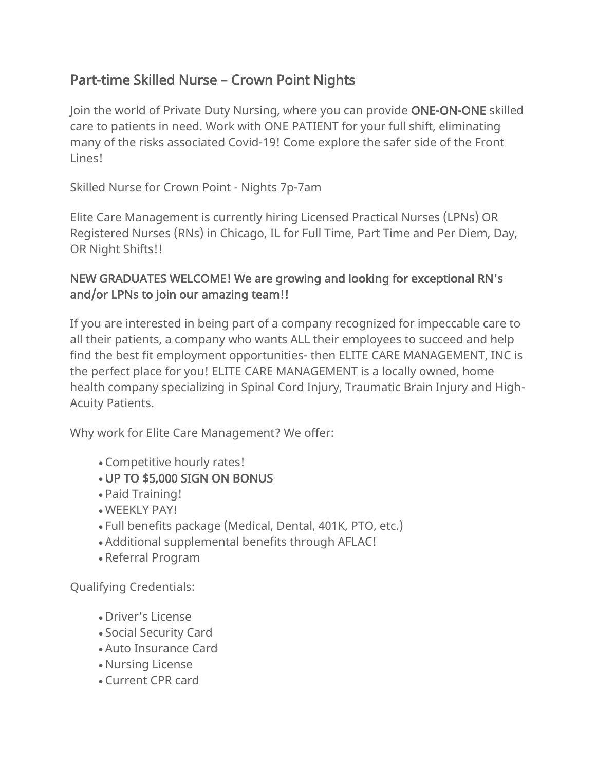## Part-time Skilled Nurse – Crown Point Nights

Join the world of Private Duty Nursing, where you can provide ONE-ON-ONE skilled care to patients in need. Work with ONE PATIENT for your full shift, eliminating many of the risks associated Covid-19! Come explore the safer side of the Front Lines!

Skilled Nurse for Crown Point - Nights 7p-7am

Elite Care Management is currently hiring Licensed Practical Nurses (LPNs) OR Registered Nurses (RNs) in Chicago, IL for Full Time, Part Time and Per Diem, Day, OR Night Shifts!!

## NEW GRADUATES WELCOME! We are growing and looking for exceptional RN's and/or LPNs to join our amazing team!!

If you are interested in being part of a company recognized for impeccable care to all their patients, a company who wants ALL their employees to succeed and help find the best fit employment opportunities- then ELITE CARE MANAGEMENT, INC is the perfect place for you! ELITE CARE MANAGEMENT is a locally owned, home health company specializing in Spinal Cord Injury, Traumatic Brain Injury and High-Acuity Patients.

Why work for Elite Care Management? We offer:

- Competitive hourly rates!
- UP TO \$5,000 SIGN ON BONUS
- Paid Training!
- WEEKLY PAY!
- Full benefits package (Medical, Dental, 401K, PTO, etc.)
- Additional supplemental benefits through AFLAC!
- Referral Program

Qualifying Credentials:

- Driver's License
- Social Security Card
- Auto Insurance Card
- Nursing License
- Current CPR card